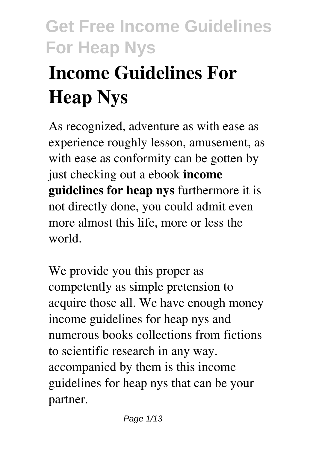# **Income Guidelines For Heap Nys**

As recognized, adventure as with ease as experience roughly lesson, amusement, as with ease as conformity can be gotten by just checking out a ebook **income guidelines for heap nys** furthermore it is not directly done, you could admit even more almost this life, more or less the world.

We provide you this proper as competently as simple pretension to acquire those all. We have enough money income guidelines for heap nys and numerous books collections from fictions to scientific research in any way. accompanied by them is this income guidelines for heap nys that can be your partner.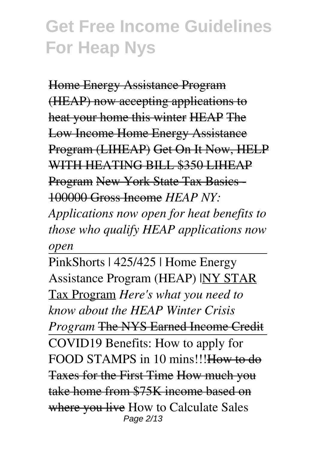Home Energy Assistance Program (HEAP) now accepting applications to heat your home this winter HEAP The Low Income Home Energy Assistance Program (LIHEAP) Get On It Now, HELP WITH HEATING BILL \$350 LIHEAP Program New York State Tax Basics - 100000 Gross Income *HEAP NY: Applications now open for heat benefits to those who qualify HEAP applications now open*

PinkShorts | 425/425 | Home Energy Assistance Program (HEAP) |NY STAR Tax Program *Here's what you need to know about the HEAP Winter Crisis Program* The NYS Earned Income Credit COVID19 Benefits: How to apply for FOOD STAMPS in 10 mins!!!How to do Taxes for the First Time How much you take home from \$75K income based on where you live How to Calculate Sales Page 2/13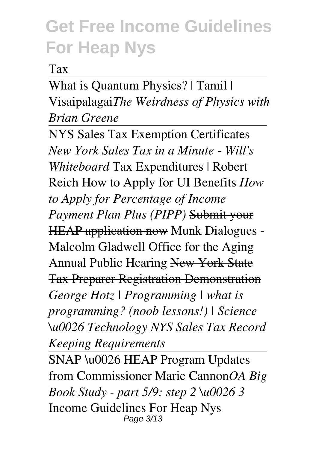#### Tax

What is Quantum Physics? | Tamil | Visaipalagai*The Weirdness of Physics with Brian Greene*

NYS Sales Tax Exemption Certificates *New York Sales Tax in a Minute - Will's Whiteboard* Tax Expenditures | Robert Reich How to Apply for UI Benefits *How to Apply for Percentage of Income Payment Plan Plus (PIPP)* Submit your HEAP application now Munk Dialogues - Malcolm Gladwell Office for the Aging Annual Public Hearing New York State Tax Preparer Registration Demonstration *George Hotz | Programming | what is programming? (noob lessons!) | Science \u0026 Technology NYS Sales Tax Record Keeping Requirements*

SNAP \u0026 HEAP Program Updates from Commissioner Marie Cannon*OA Big Book Study - part 5/9: step 2 \u0026 3* Income Guidelines For Heap Nys Page 3/13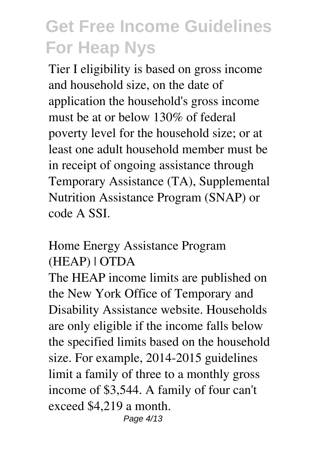Tier I eligibility is based on gross income and household size, on the date of application the household's gross income must be at or below 130% of federal poverty level for the household size; or at least one adult household member must be in receipt of ongoing assistance through Temporary Assistance (TA), Supplemental Nutrition Assistance Program (SNAP) or code A SSI.

#### Home Energy Assistance Program (HEAP) | OTDA

The HEAP income limits are published on the New York Office of Temporary and Disability Assistance website. Households are only eligible if the income falls below the specified limits based on the household size. For example, 2014-2015 guidelines limit a family of three to a monthly gross income of \$3,544. A family of four can't exceed \$4,219 a month. Page 4/13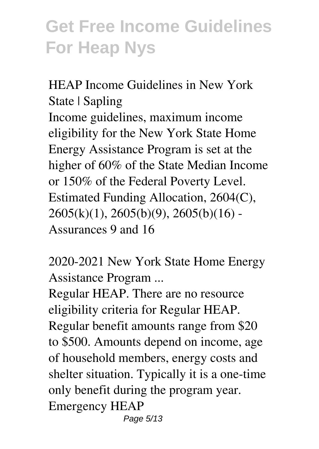HEAP Income Guidelines in New York State | Sapling Income guidelines, maximum income eligibility for the New York State Home Energy Assistance Program is set at the higher of 60% of the State Median Income or 150% of the Federal Poverty Level. Estimated Funding Allocation, 2604(C),  $2605(k)(1)$ ,  $2605(b)(9)$ ,  $2605(b)(16)$ Assurances 9 and 16

2020-2021 New York State Home Energy Assistance Program ...

Regular HEAP. There are no resource eligibility criteria for Regular HEAP. Regular benefit amounts range from \$20 to \$500. Amounts depend on income, age of household members, energy costs and shelter situation. Typically it is a one-time only benefit during the program year. Emergency HEAP Page 5/13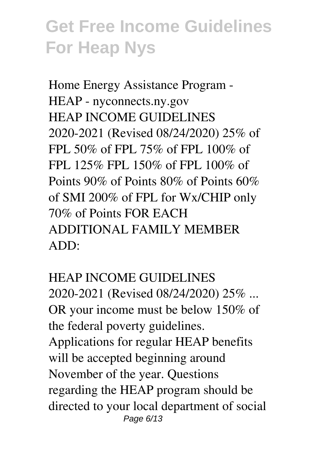Home Energy Assistance Program - HEAP - nyconnects.ny.gov HEAP INCOME GUIDELINES 2020-2021 (Revised 08/24/2020) 25% of FPL 50% of FPL 75% of FPL 100% of FPL 125% FPL 150% of FPL 100% of Points 90% of Points 80% of Points 60% of SMI 200% of FPL for Wx/CHIP only 70% of Points FOR EACH ADDITIONAL FAMILY MEMBER  $ADD^*$ 

HEAP INCOME GUIDELINES 2020-2021 (Revised 08/24/2020) 25% ... OR your income must be below 150% of the federal poverty guidelines. Applications for regular HEAP benefits will be accepted beginning around November of the year. Questions regarding the HEAP program should be directed to your local department of social Page 6/13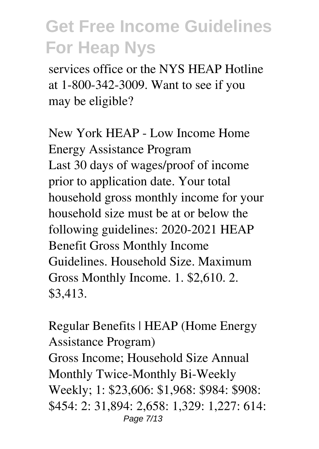services office or the NYS HEAP Hotline at 1-800-342-3009. Want to see if you may be eligible?

New York HEAP - Low Income Home Energy Assistance Program Last 30 days of wages/proof of income prior to application date. Your total household gross monthly income for your household size must be at or below the following guidelines: 2020-2021 HEAP Benefit Gross Monthly Income Guidelines. Household Size. Maximum Gross Monthly Income. 1. \$2,610. 2. \$3,413.

Regular Benefits | HEAP (Home Energy Assistance Program) Gross Income; Household Size Annual Monthly Twice-Monthly Bi-Weekly Weekly; 1: \$23,606: \$1,968: \$984: \$908: \$454: 2: 31,894: 2,658: 1,329: 1,227: 614: Page 7/13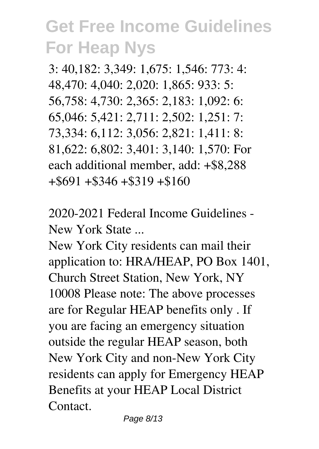3: 40,182: 3,349: 1,675: 1,546: 773: 4: 48,470: 4,040: 2,020: 1,865: 933: 5: 56,758: 4,730: 2,365: 2,183: 1,092: 6: 65,046: 5,421: 2,711: 2,502: 1,251: 7: 73,334: 6,112: 3,056: 2,821: 1,411: 8: 81,622: 6,802: 3,401: 3,140: 1,570: For each additional member, add: +\$8,288 +\$691 +\$346 +\$319 +\$160

2020-2021 Federal Income Guidelines - New York State ...

New York City residents can mail their application to: HRA/HEAP, PO Box 1401, Church Street Station, New York, NY 10008 Please note: The above processes are for Regular HEAP benefits only . If you are facing an emergency situation outside the regular HEAP season, both New York City and non-New York City residents can apply for Emergency HEAP Benefits at your HEAP Local District Contact.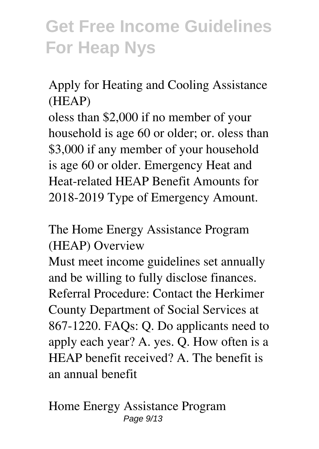Apply for Heating and Cooling Assistance (HEAP)

oless than \$2,000 if no member of your household is age 60 or older; or. oless than \$3,000 if any member of your household is age 60 or older. Emergency Heat and Heat-related HEAP Benefit Amounts for 2018-2019 Type of Emergency Amount.

The Home Energy Assistance Program (HEAP) Overview

Must meet income guidelines set annually and be willing to fully disclose finances. Referral Procedure: Contact the Herkimer County Department of Social Services at 867-1220. FAQs: Q. Do applicants need to apply each year? A. yes. Q. How often is a HEAP benefit received? A. The benefit is an annual benefit

Home Energy Assistance Program Page 9/13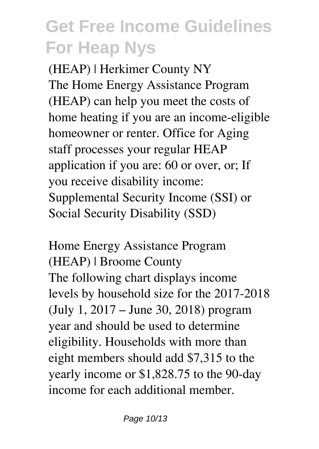(HEAP) | Herkimer County NY The Home Energy Assistance Program (HEAP) can help you meet the costs of home heating if you are an income-eligible homeowner or renter. Office for Aging staff processes your regular HEAP application if you are: 60 or over, or; If you receive disability income: Supplemental Security Income (SSI) or Social Security Disability (SSD)

Home Energy Assistance Program (HEAP) | Broome County The following chart displays income levels by household size for the 2017-2018 (July 1, 2017 – June 30, 2018) program year and should be used to determine eligibility. Households with more than eight members should add \$7,315 to the yearly income or \$1,828.75 to the 90-day income for each additional member.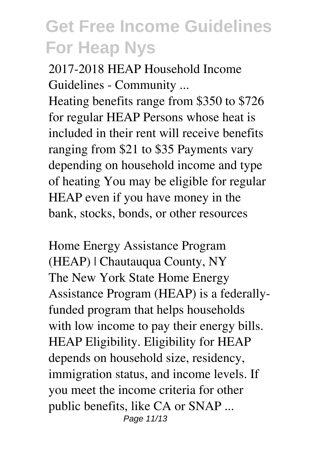2017-2018 HEAP Household Income Guidelines - Community ...

Heating benefits range from \$350 to \$726 for regular HEAP Persons whose heat is included in their rent will receive benefits ranging from \$21 to \$35 Payments vary depending on household income and type of heating You may be eligible for regular HEAP even if you have money in the bank, stocks, bonds, or other resources

Home Energy Assistance Program (HEAP) | Chautauqua County, NY The New York State Home Energy Assistance Program (HEAP) is a federallyfunded program that helps households with low income to pay their energy bills. HEAP Eligibility. Eligibility for HEAP depends on household size, residency, immigration status, and income levels. If you meet the income criteria for other public benefits, like CA or SNAP ... Page 11/13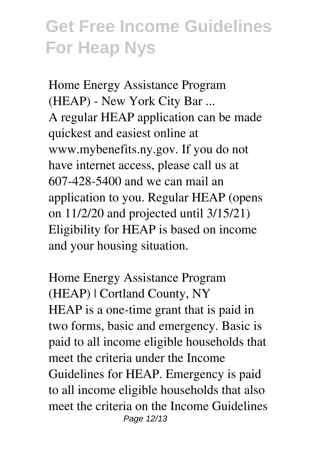Home Energy Assistance Program (HEAP) - New York City Bar ... A regular HEAP application can be made quickest and easiest online at www.mybenefits.ny.gov. If you do not have internet access, please call us at 607-428-5400 and we can mail an application to you. Regular HEAP (opens on 11/2/20 and projected until 3/15/21) Eligibility for HEAP is based on income and your housing situation.

Home Energy Assistance Program (HEAP) | Cortland County, NY HEAP is a one-time grant that is paid in two forms, basic and emergency. Basic is paid to all income eligible households that meet the criteria under the Income Guidelines for HEAP. Emergency is paid to all income eligible households that also meet the criteria on the Income Guidelines Page 12/13